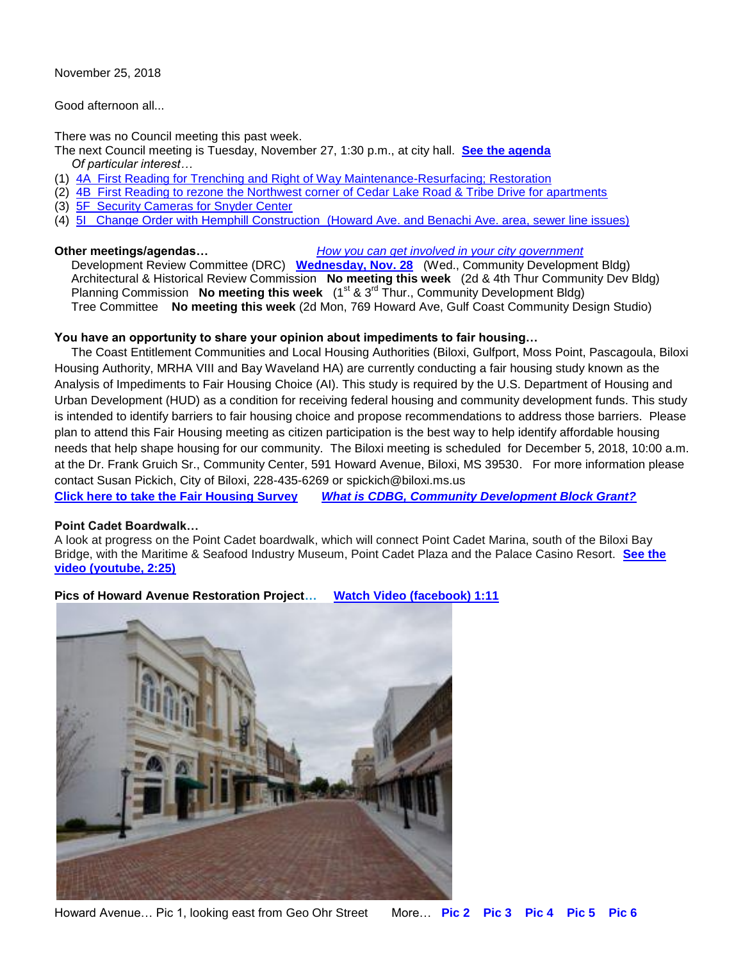November 25, 2018

Good afternoon all...

There was no Council meeting this past week.

- The next Council meeting is Tuesday, November 27, 1:30 p.m., at city hall. **[See the agenda](https://www.biloxi.ms.us/agendas/citycouncil/2018/112718/112718agenda.pdf)**  *Of particular interest…*
- (1) [4A First Reading for Trenching and Right of Way](https://www.biloxi.ms.us/agendas/citycouncil/2018/112718/112718aeng.pdf) Maintenance-Resurfacing; Restoration
- (2) [4B First Reading to rezone the Northwest corner of Cedar Lake Road & Tribe Drive for apartments](https://www.biloxi.ms.us/agendas/citycouncil/2018/112718/112718apc.pdf)
- (3) [5F Security Cameras for Snyder Center](https://www.biloxi.ms.us/agendas/citycouncil/2018/112718/112718bpr.pdf)
- (4) [5I Change Order with Hemphill Construction \(Howard Ave. and Benachi Ave. area, sewer line issues\)](https://www.biloxi.ms.us/agendas/citycouncil/2018/112718/112718beng.pdf)

# **Other meetings/agendas…** *[How you can get involved in your city government](https://www.biloxi.ms.us/residents/public-meetings/)*

 Development Review Committee (DRC) **[Wednesday, Nov. 28](https://www.biloxi.ms.us/agendas/DRC/2018/DRC-2018-11-28.pdf)** (Wed., Community Development Bldg) Architectural & Historical Review Commission **No meeting this week** (2d & 4th Thur Community Dev Bldg) Planning Commission **No meeting this week** (1<sup>st</sup> & 3<sup>rd</sup> Thur., Community Development Bldg) Tree Committee **No meeting this week** (2d Mon, 769 Howard Ave, Gulf Coast Community Design Studio)

# **You have an opportunity to share your opinion about impediments to fair housing…**

 The Coast Entitlement Communities and Local Housing Authorities (Biloxi, Gulfport, Moss Point, Pascagoula, Biloxi Housing Authority, MRHA VIII and Bay Waveland HA) are currently conducting a fair housing study known as the Analysis of Impediments to Fair Housing Choice (AI). This study is required by the U.S. Department of Housing and Urban Development (HUD) as a condition for receiving federal housing and community development funds. This study is intended to identify barriers to fair housing choice and propose recommendations to address those barriers. Please plan to attend this Fair Housing meeting as citizen participation is the best way to help identify affordable housing needs that help shape housing for our community. The Biloxi meeting is scheduled for December 5, 2018, 10:00 a.m. at the Dr. Frank Gruich Sr., Community Center, 591 Howard Avenue, Biloxi, MS 39530. For more information please contact Susan Pickich, City of Biloxi, 228-435-6269 or spickich@biloxi.ms.us

**[Click here to take the Fair Housing Survey](https://www.research.net/r/2018MSFairHousingSurvey)** *[What is CDBG, Community Development Block Grant?](https://www.biloxi.ms.us/cdbg/)*

### **Point Cadet Boardwalk…**

A look at progress on the Point Cadet boardwalk, which will connect Point Cadet Marina, south of the Biloxi Bay Bridge, with the Maritime & Seafood Industry Museum, Point Cadet Plaza and the Palace Casino Resort. **[See the](https://www.youtube.com/watch?v=CsQntIqE3fA&feature=youtu.be&fbclid=IwAR1X7hJ8polIS3Pp5TzphuOWh0WNYZLFEtv9WjiZUy2bRBPNL_xOoB8rSl0)  [video \(youtube, 2:25\)](https://www.youtube.com/watch?v=CsQntIqE3fA&feature=youtu.be&fbclid=IwAR1X7hJ8polIS3Pp5TzphuOWh0WNYZLFEtv9WjiZUy2bRBPNL_xOoB8rSl0)**

**Pics of Howard Avenue Restoration Project… [Watch Video \(facebook\) 1:11](https://www.youtube.com/watch?v=fosmKVrCaWI&feature=youtu.be&fbclid=IwAR2eYnLEG0Lw0Ps83Aj7nQoZ47TrkTi83FP0G9FEzooDWDvN2JMLYOcbTfY)**